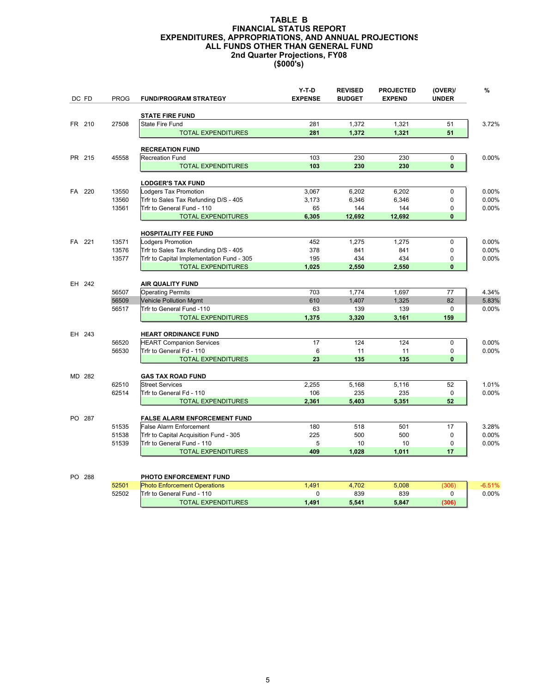## 2nd Quarter Projections, FY08 (\$000's) TABLE B FINANCIAL STATUS REPORT EXPENDITURES, APPROPRIATIONS, AND ANNUAL PROJECTIONS ALL FUNDS OTHER THAN GENERAL FUND

| DC FD  | <b>PROG</b> | <b>FUND/PROGRAM STRATEGY</b>              | Y-T-D<br><b>EXPENSE</b> | <b>REVISED</b><br><b>BUDGET</b> | <b>PROJECTED</b><br><b>EXPEND</b> | (OVER)<br><b>UNDER</b> | %        |
|--------|-------------|-------------------------------------------|-------------------------|---------------------------------|-----------------------------------|------------------------|----------|
|        |             | <b>STATE FIRE FUND</b>                    |                         |                                 |                                   |                        |          |
| FR 210 | 27508       | State Fire Fund                           | 281                     | 1,372                           | 1,321                             | 51                     | 3.72%    |
|        |             | <b>TOTAL EXPENDITURES</b>                 | 281                     | 1,372                           | 1,321                             | 51                     |          |
|        |             | <b>RECREATION FUND</b>                    |                         |                                 |                                   |                        |          |
| PR 215 | 45558       | <b>Recreation Fund</b>                    | 103                     | 230                             | 230                               | 0                      | 0.00%    |
|        |             | <b>TOTAL EXPENDITURES</b>                 | 103                     | 230                             | 230                               | $\mathbf{0}$           |          |
|        |             | <b>LODGER'S TAX FUND</b>                  |                         |                                 |                                   |                        |          |
| FA 220 | 13550       | Lodgers Tax Promotion                     | 3,067                   | 6,202                           | 6,202                             | $\mathbf 0$            | 0.00%    |
|        | 13560       | Trfr to Sales Tax Refunding D/S - 405     | 3,173                   | 6,346                           | 6,346                             | 0                      | 0.00%    |
|        | 13561       | Trfr to General Fund - 110                | 65                      | 144                             | 144                               | 0                      | 0.00%    |
|        |             | <b>TOTAL EXPENDITURES</b>                 | 6,305                   | 12,692                          | 12,692                            | $\mathbf{0}$           |          |
|        |             | <b>HOSPITALITY FEE FUND</b>               |                         |                                 |                                   |                        |          |
| FA 221 | 13571       | Lodgers Promotion                         | 452                     | 1,275                           | 1,275                             | 0                      | 0.00%    |
|        | 13576       | Trfr to Sales Tax Refunding D/S - 405     | 378                     | 841                             | 841                               | 0                      | 0.00%    |
|        | 13577       | Trfr to Capital Implementation Fund - 305 | 195                     | 434                             | 434                               | 0                      | 0.00%    |
|        |             | <b>TOTAL EXPENDITURES</b>                 | 1,025                   | 2,550                           | 2,550                             | $\mathbf{0}$           |          |
| EH 242 |             | <b>AIR QUALITY FUND</b>                   |                         |                                 |                                   |                        |          |
|        | 56507       | <b>Operating Permits</b>                  | 703                     | 1,774                           | 1,697                             | 77                     | 4.34%    |
|        | 56509       | <b>Vehicle Pollution Mgmt</b>             | 610                     | 1,407                           | 1,325                             | 82                     | 5.83%    |
|        | 56517       | Trfr to General Fund -110                 | 63                      | 139                             | 139                               | $\mathbf 0$            | 0.00%    |
|        |             | <b>TOTAL EXPENDITURES</b>                 | 1,375                   | 3,320                           | 3,161                             | 159                    |          |
| EH 243 |             | <b>HEART ORDINANCE FUND</b>               |                         |                                 |                                   |                        |          |
|        | 56520       | <b>HEART Companion Services</b>           | 17                      | 124                             | 124                               | $\mathbf 0$            | 0.00%    |
|        | 56530       | Trfr to General Fd - 110                  | 6                       | 11                              | 11                                | 0                      | 0.00%    |
|        |             | <b>TOTAL EXPENDITURES</b>                 | 23                      | 135                             | 135                               | $\mathbf{0}$           |          |
| MD 282 |             | <b>GAS TAX ROAD FUND</b>                  |                         |                                 |                                   |                        |          |
|        | 62510       | <b>Street Services</b>                    | 2,255                   | 5,168                           | 5,116                             | 52                     | 1.01%    |
|        | 62514       | Trfr to General Fd - 110                  | 106                     | 235                             | 235                               | $\mathbf 0$            | 0.00%    |
|        |             | <b>TOTAL EXPENDITURES</b>                 | 2,361                   | 5,403                           | 5,351                             | 52                     |          |
| PO 287 |             | <b>FALSE ALARM ENFORCEMENT FUND</b>       |                         |                                 |                                   |                        |          |
|        | 51535       | <b>False Alarm Enforcement</b>            | 180                     | 518                             | 501                               | 17                     | 3.28%    |
|        | 51538       | Trfr to Capital Acquisition Fund - 305    | 225                     | 500                             | 500                               | 0                      | 0.00%    |
|        | 51539       | Trfr to General Fund - 110                | 5                       | 10                              | 10                                | $\pmb{0}$              | 0.00%    |
|        |             | <b>TOTAL EXPENDITURES</b>                 | 409                     | 1,028                           | 1,011                             | 17                     |          |
|        |             |                                           |                         |                                 |                                   |                        |          |
| PO 288 |             | PHOTO ENFORCEMENT FUND                    |                         |                                 |                                   |                        |          |
|        | 52501       | <b>Photo Enforcement Operations</b>       | 1.491                   | 4.702                           | 5.008                             | (306)                  | $-6.51%$ |

52502 Trfr to General Fund - 110 0 0 0 0 0 0 0 839 0 0 0.00%<br>
TOTAL EXPENDITURES 1,491 5,541 5,847 (306) TOTAL EXPENDITURES 1,491 5,541 5,847 (306)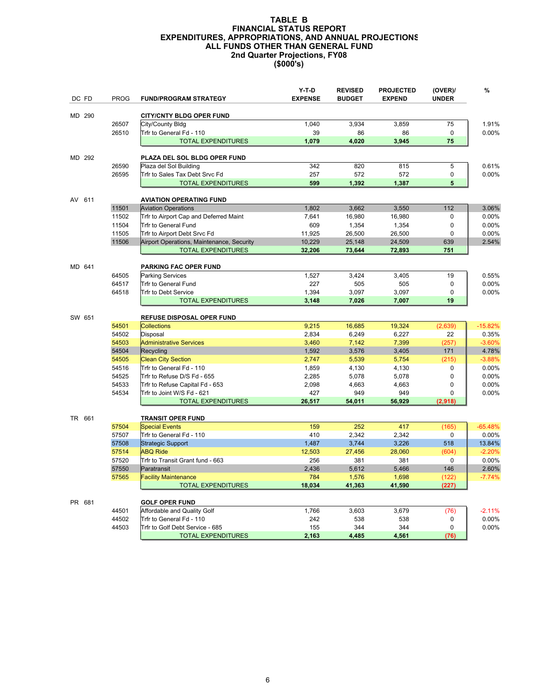## 2nd Quarter Projections, FY08 (\$000's) TABLE B FINANCIAL STATUS REPORT EXPENDITURES, APPROPRIATIONS, AND ANNUAL PROJECTIONS ALL FUNDS OTHER THAN GENERAL FUND

|        | DC FD  | <b>PROG</b>    | <b>FUND/PROGRAM STRATEGY</b>                                 | Y-T-D<br><b>EXPENSE</b> | <b>REVISED</b><br><b>BUDGET</b> | <b>PROJECTED</b><br><b>EXPEND</b> | (OVER)<br><b>UNDER</b> | %                 |
|--------|--------|----------------|--------------------------------------------------------------|-------------------------|---------------------------------|-----------------------------------|------------------------|-------------------|
|        | MD 290 |                | <b>CITY/CNTY BLDG OPER FUND</b>                              |                         |                                 |                                   |                        |                   |
|        |        | 26507          | City/County Bldg                                             | 1,040                   | 3,934                           | 3,859                             | 75                     | 1.91%             |
|        |        | 26510          | Trfr to General Fd - 110                                     | 39                      | 86                              | 86                                | $\mathbf 0$            | 0.00%             |
|        |        |                | <b>TOTAL EXPENDITURES</b>                                    | 1,079                   | 4,020                           | 3,945                             | 75                     |                   |
|        |        |                |                                                              |                         |                                 |                                   |                        |                   |
| MD 292 |        |                | PLAZA DEL SOL BLDG OPER FUND                                 |                         |                                 |                                   |                        |                   |
|        |        | 26590          | Plaza del Sol Building                                       | 342                     | 820                             | 815                               | 5                      | 0.61%             |
|        |        | 26595          | Trfr to Sales Tax Debt Srvc Fd                               | 257                     | 572                             | 572                               | 0<br>5                 | 0.00%             |
|        |        |                | <b>TOTAL EXPENDITURES</b>                                    | 599                     | 1,392                           | 1,387                             |                        |                   |
| AV 611 |        |                | <b>AVIATION OPERATING FUND</b>                               |                         |                                 |                                   |                        |                   |
|        |        | 11501          | <b>Aviation Operations</b>                                   | 1,802                   | 3,662                           | 3,550                             | 112                    | 3.06%             |
|        |        | 11502          | Trfr to Airport Cap and Deferred Maint                       | 7,641                   | 16,980                          | 16,980                            | $\mathbf 0$            | 0.00%             |
|        |        | 11504          | Trfr to General Fund                                         | 609                     | 1,354                           | 1,354                             | $\mathbf 0$            | 0.00%             |
|        |        | 11505          | Trfr to Airport Debt Srvc Fd                                 | 11,925                  | 26,500                          | 26,500                            | $\mathbf 0$            | 0.00%             |
|        |        | 11506          | Airport Operations, Maintenance, Security                    | 10,229                  | 25,148                          | 24,509                            | 639                    | 2.54%             |
|        |        |                | <b>TOTAL EXPENDITURES</b>                                    | 32,206                  | 73,644                          | 72,893                            | 751                    |                   |
|        | MD 641 |                | PARKING FAC OPER FUND                                        |                         |                                 |                                   |                        |                   |
|        |        | 64505          | <b>Parking Services</b>                                      | 1,527                   | 3,424                           | 3,405                             | 19                     | 0.55%             |
|        |        | 64517          | Trfr to General Fund                                         | 227                     | 505                             | 505                               | $\pmb{0}$              | 0.00%             |
|        |        | 64518          | Trfr to Debt Service                                         | 1,394                   | 3,097                           | 3,097                             | $\mathbf 0$            | 0.00%             |
|        |        |                | <b>TOTAL EXPENDITURES</b>                                    | 3,148                   | 7,026                           | 7,007                             | 19                     |                   |
|        |        |                |                                                              |                         |                                 |                                   |                        |                   |
|        | SW 651 |                | <b>REFUSE DISPOSAL OPER FUND</b>                             |                         |                                 |                                   |                        |                   |
|        |        | 54501<br>54502 | <b>Collections</b>                                           | 9,215                   | 16,685                          | 19,324                            | (2,639)<br>22          | $-15.82%$         |
|        |        | 54503          | Disposal                                                     | 2,834                   | 6,249                           | 6,227                             |                        | 0.35%<br>$-3.60%$ |
|        |        | 54504          | <b>Administrative Services</b><br>Recycling                  | 3,460<br>1,592          | 7,142<br>3,576                  | 7,399<br>3,405                    | (257)<br>171           | 4.78%             |
|        |        | 54505          | <b>Clean City Section</b>                                    | 2,747                   | 5,539                           | 5,754                             | (215)                  | $-3.88%$          |
|        |        | 54516          | Trfr to General Fd - 110                                     | 1,859                   | 4,130                           | 4,130                             | 0                      | 0.00%             |
|        |        | 54525          | Trfr to Refuse D/S Fd - 655                                  | 2,285                   | 5,078                           | 5,078                             | $\Omega$               | 0.00%             |
|        |        | 54533          | Trfr to Refuse Capital Fd - 653                              | 2,098                   | 4,663                           | 4,663                             | 0                      | $0.00\%$          |
|        |        | 54534          | Trfr to Joint W/S Fd - 621                                   | 427                     | 949                             | 949                               | 0                      | 0.00%             |
|        |        |                | <b>TOTAL EXPENDITURES</b>                                    | 26,517                  | 54,011                          | 56,929                            | (2,918)                |                   |
|        |        |                |                                                              |                         |                                 |                                   |                        |                   |
|        | TR 661 | 57504          | <b>TRANSIT OPER FUND</b><br><b>Special Events</b>            | 159                     | 252                             | 417                               | (165)                  | $-65.48%$         |
|        |        | 57507          | Trfr to General Fd - 110                                     | 410                     | 2,342                           | 2,342                             | $\mathbf 0$            | 0.00%             |
|        |        | 57508          | Strategic Support                                            | 1,487                   | 3,744                           | 3,226                             | 518                    | 13.84%            |
|        |        | 57514          | <b>ABQ Ride</b>                                              | 12,503                  | 27,456                          | 28,060                            | (604)                  | $-2.20%$          |
|        |        | 57520          | Trfr to Transit Grant fund - 663                             | 256                     | 381                             | 381                               | $\mathbf 0$            | 0.00%             |
|        |        | 57550          | Paratransit                                                  | 2,436                   | 5,612                           | 5,466                             | 146                    | 2.60%             |
|        |        | 57565          | <b>Facility Maintenance</b>                                  | 784                     | 1,576                           | 1,698                             | (122)                  | $-7.74%$          |
|        |        |                | <b>TOTAL EXPENDITURES</b>                                    | 18,034                  | 41,363                          | 41,590                            | (227)                  |                   |
|        |        |                |                                                              |                         |                                 |                                   |                        |                   |
|        | PR 681 |                | <b>GOLF OPER FUND</b>                                        |                         |                                 |                                   |                        |                   |
|        |        | 44501          | Affordable and Quality Golf                                  | 1,766                   | 3,603                           | 3,679                             | (76)                   | $-2.11%$          |
|        |        | 44502          | Trfr to General Fd - 110                                     | 242                     | 538<br>344                      | 538<br>344                        | 0<br>$\Omega$          | 0.00%             |
|        |        | 44503          | Trfr to Golf Debt Service - 685<br><b>TOTAL EXPENDITURES</b> | 155<br>2,163            | 4,485                           | 4,561                             | (76)                   | 0.00%             |
|        |        |                |                                                              |                         |                                 |                                   |                        |                   |